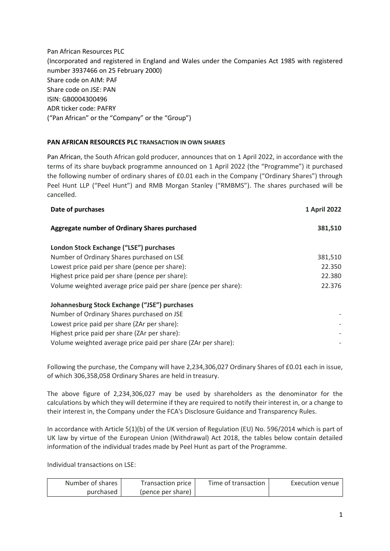Pan African Resources PLC (Incorporated and registered in England and Wales under the Companies Act 1985 with registered number 3937466 on 25 February 2000) Share code on AIM: PAF Share code on JSE: PAN ISIN: GB0004300496 ADR ticker code: PAFRY ("Pan African" or the "Company" or the "Group")

## **PAN AFRICAN RESOURCES PLC TRANSACTION IN OWN SHARES**

Pan African, the South African gold producer, announces that on 1 April 2022, in accordance with the terms of its share buyback programme announced on 1 April 2022 (the "Programme") it purchased the following number of ordinary shares of £0.01 each in the Company ("Ordinary Shares") through Peel Hunt LLP ("Peel Hunt") and RMB Morgan Stanley ("RMBMS"). The shares purchased will be cancelled.

| Date of purchases                                               | 1 April 2022 |
|-----------------------------------------------------------------|--------------|
| Aggregate number of Ordinary Shares purchased                   | 381,510      |
| London Stock Exchange ("LSE") purchases                         |              |
| Number of Ordinary Shares purchased on LSE                      | 381,510      |
| Lowest price paid per share (pence per share):                  | 22.350       |
| Highest price paid per share (pence per share):                 | 22.380       |
| Volume weighted average price paid per share (pence per share): | 22.376       |
| Johannesburg Stock Exchange ("JSE") purchases                   |              |
| Number of Ordinary Shares purchased on JSE                      |              |
| Lowest price paid per share (ZAr per share):                    |              |
| Highest price paid per share (ZAr per share):                   |              |
| Volume weighted average price paid per share (ZAr per share):   |              |

Following the purchase, the Company will have 2,234,306,027 Ordinary Shares of £0.01 each in issue, of which 306,358,058 Ordinary Shares are held in treasury.

The above figure of 2,234,306,027 may be used by shareholders as the denominator for the calculations by which they will determine if they are required to notify their interest in, or a change to their interest in, the Company under the FCA's Disclosure Guidance and Transparency Rules.

In accordance with Article 5(1)(b) of the UK version of Regulation (EU) No. 596/2014 which is part of UK law by virtue of the European Union (Withdrawal) Act 2018, the tables below contain detailed information of the individual trades made by Peel Hunt as part of the Programme.

Individual transactions on LSE:

| Number of shares | Transaction price | Time of transaction | Execution venue |
|------------------|-------------------|---------------------|-----------------|
| purchased        | (pence per share) |                     |                 |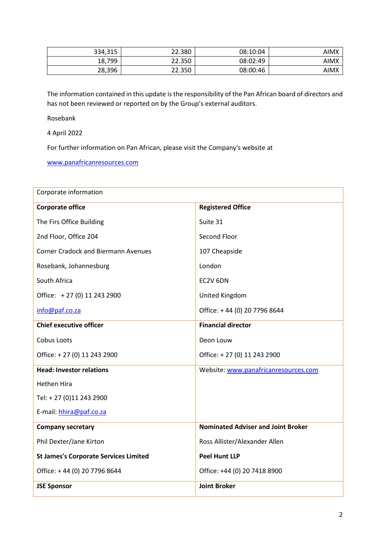| 334,315 | 22.380 | 08:10:04 | AIMX |
|---------|--------|----------|------|
| 18,799  | 22.350 | 08:02:49 | AIMX |
| 28,396  | 22.350 | 08:00:46 | AIMX |

The information contained in this update is the responsibility of the Pan African board of directors and has not been reviewed or reported on by the Group's external auditors.

Rosebank

4 April 2022

For further information on Pan African, please visit the Company's website at

[www.panafricanresources.com](http://www.panafricanresources.com/)

| Corporate information                        |                                           |  |  |
|----------------------------------------------|-------------------------------------------|--|--|
| <b>Corporate office</b>                      | <b>Registered Office</b>                  |  |  |
| The Firs Office Building                     | Suite 31                                  |  |  |
| 2nd Floor, Office 204                        | Second Floor                              |  |  |
| <b>Corner Cradock and Biermann Avenues</b>   | 107 Cheapside                             |  |  |
| Rosebank, Johannesburg                       | London                                    |  |  |
| South Africa                                 | EC2V 6DN                                  |  |  |
| Office: +27 (0) 11 243 2900                  | United Kingdom                            |  |  |
| info@paf.co.za                               | Office: +44 (0) 20 7796 8644              |  |  |
| <b>Chief executive officer</b>               | <b>Financial director</b>                 |  |  |
| Cobus Loots                                  | Deon Louw                                 |  |  |
| Office: +27 (0) 11 243 2900                  | Office: +27 (0) 11 243 2900               |  |  |
| <b>Head: Investor relations</b>              | Website: www.panafricanresources.com      |  |  |
| <b>Hethen Hira</b>                           |                                           |  |  |
| Tel: +27 (0)11 243 2900                      |                                           |  |  |
| E-mail: hhira@paf.co.za                      |                                           |  |  |
| <b>Company secretary</b>                     | <b>Nominated Adviser and Joint Broker</b> |  |  |
| Phil Dexter/Jane Kirton                      | Ross Allister/Alexander Allen             |  |  |
| <b>St James's Corporate Services Limited</b> | <b>Peel Hunt LLP</b>                      |  |  |
| Office: +44 (0) 20 7796 8644                 | Office: +44 (0) 20 7418 8900              |  |  |
| <b>JSE Sponsor</b>                           | <b>Joint Broker</b>                       |  |  |